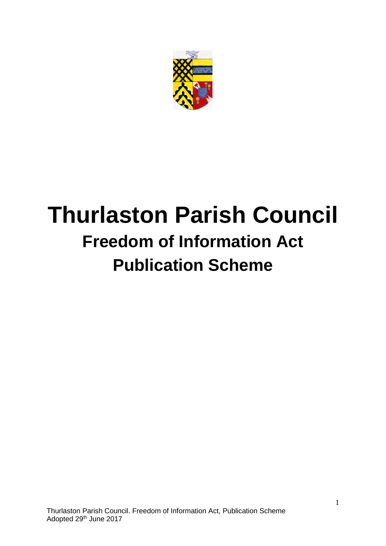

# **Thurlaston Parish Council Freedom of Information Act Publication Scheme**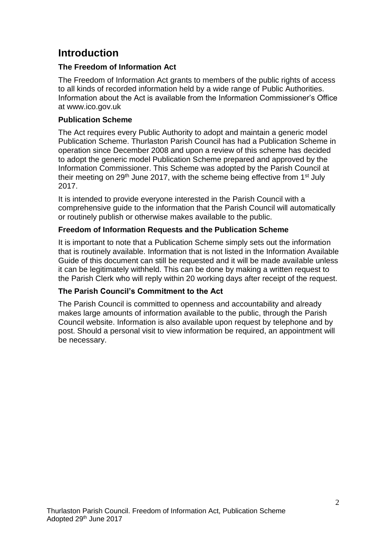# **Introduction**

## **The Freedom of Information Act**

The Freedom of Information Act grants to members of the public rights of access to all kinds of recorded information held by a wide range of Public Authorities. Information about the Act is available from the Information Commissioner's Office at www.ico.gov.uk

## **Publication Scheme**

The Act requires every Public Authority to adopt and maintain a generic model Publication Scheme. Thurlaston Parish Council has had a Publication Scheme in operation since December 2008 and upon a review of this scheme has decided to adopt the generic model Publication Scheme prepared and approved by the Information Commissioner. This Scheme was adopted by the Parish Council at their meeting on 29<sup>th</sup> June 2017, with the scheme being effective from 1<sup>st</sup> July 2017.

It is intended to provide everyone interested in the Parish Council with a comprehensive guide to the information that the Parish Council will automatically or routinely publish or otherwise makes available to the public.

## **Freedom of Information Requests and the Publication Scheme**

It is important to note that a Publication Scheme simply sets out the information that is routinely available. Information that is not listed in the Information Available Guide of this document can still be requested and it will be made available unless it can be legitimately withheld. This can be done by making a written request to the Parish Clerk who will reply within 20 working days after receipt of the request.

## **The Parish Council's Commitment to the Act**

The Parish Council is committed to openness and accountability and already makes large amounts of information available to the public, through the Parish Council website. Information is also available upon request by telephone and by post. Should a personal visit to view information be required, an appointment will be necessary.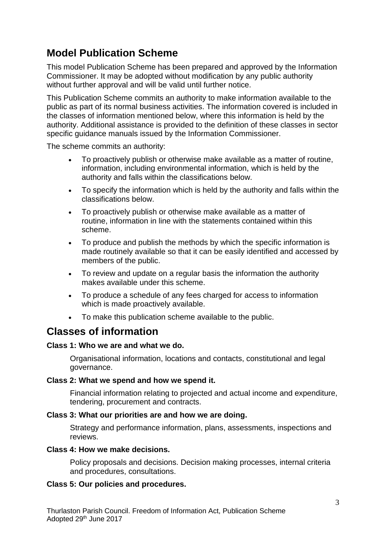# **Model Publication Scheme**

This model Publication Scheme has been prepared and approved by the Information Commissioner. It may be adopted without modification by any public authority without further approval and will be valid until further notice.

This Publication Scheme commits an authority to make information available to the public as part of its normal business activities. The information covered is included in the classes of information mentioned below, where this information is held by the authority. Additional assistance is provided to the definition of these classes in sector specific guidance manuals issued by the Information Commissioner.

The scheme commits an authority:

- To proactively publish or otherwise make available as a matter of routine, information, including environmental information, which is held by the authority and falls within the classifications below.
- To specify the information which is held by the authority and falls within the classifications below.
- To proactively publish or otherwise make available as a matter of routine, information in line with the statements contained within this scheme.
- To produce and publish the methods by which the specific information is made routinely available so that it can be easily identified and accessed by members of the public.
- To review and update on a regular basis the information the authority makes available under this scheme.
- To produce a schedule of any fees charged for access to information which is made proactively available.
- To make this publication scheme available to the public.

## **Classes of information**

#### **Class 1: Who we are and what we do.**

Organisational information, locations and contacts, constitutional and legal governance.

#### **Class 2: What we spend and how we spend it.**

Financial information relating to projected and actual income and expenditure, tendering, procurement and contracts.

#### **Class 3: What our priorities are and how we are doing.**

Strategy and performance information, plans, assessments, inspections and reviews.

#### **Class 4: How we make decisions.**

Policy proposals and decisions. Decision making processes, internal criteria and procedures, consultations.

#### **Class 5: Our policies and procedures.**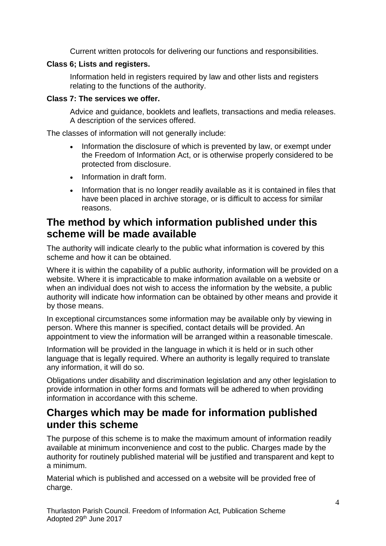Current written protocols for delivering our functions and responsibilities.

#### **Class 6; Lists and registers.**

Information held in registers required by law and other lists and registers relating to the functions of the authority.

#### **Class 7: The services we offer.**

Advice and guidance, booklets and leaflets, transactions and media releases. A description of the services offered.

The classes of information will not generally include:

- Information the disclosure of which is prevented by law, or exempt under the Freedom of Information Act, or is otherwise properly considered to be protected from disclosure.
- Information in draft form.
- Information that is no longer readily available as it is contained in files that have been placed in archive storage, or is difficult to access for similar reasons.

## **The method by which information published under this scheme will be made available**

The authority will indicate clearly to the public what information is covered by this scheme and how it can be obtained.

Where it is within the capability of a public authority, information will be provided on a website. Where it is impracticable to make information available on a website or when an individual does not wish to access the information by the website, a public authority will indicate how information can be obtained by other means and provide it by those means.

In exceptional circumstances some information may be available only by viewing in person. Where this manner is specified, contact details will be provided. An appointment to view the information will be arranged within a reasonable timescale.

Information will be provided in the language in which it is held or in such other language that is legally required. Where an authority is legally required to translate any information, it will do so.

Obligations under disability and discrimination legislation and any other legislation to provide information in other forms and formats will be adhered to when providing information in accordance with this scheme.

## **Charges which may be made for information published under this scheme**

The purpose of this scheme is to make the maximum amount of information readily available at minimum inconvenience and cost to the public. Charges made by the authority for routinely published material will be justified and transparent and kept to a minimum.

Material which is published and accessed on a website will be provided free of charge.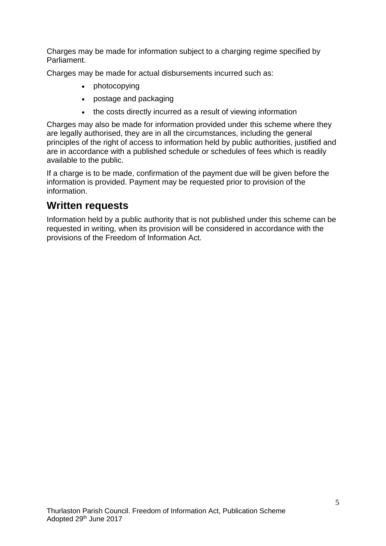Charges may be made for information subject to a charging regime specified by Parliament.

Charges may be made for actual disbursements incurred such as:

- photocopying
- postage and packaging
- the costs directly incurred as a result of viewing information

Charges may also be made for information provided under this scheme where they are legally authorised, they are in all the circumstances, including the general principles of the right of access to information held by public authorities, justified and are in accordance with a published schedule or schedules of fees which is readily available to the public.

If a charge is to be made, confirmation of the payment due will be given before the information is provided. Payment may be requested prior to provision of the information.

## **Written requests**

Information held by a public authority that is not published under this scheme can be requested in writing, when its provision will be considered in accordance with the provisions of the Freedom of Information Act.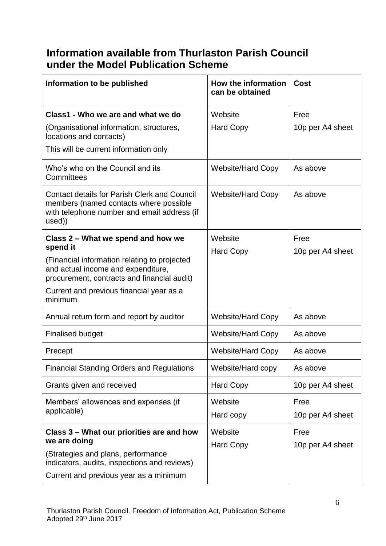# **Information available from Thurlaston Parish Council under the Model Publication Scheme**

| Information to be published                                                                                                                                                                                                                | How the information<br>can be obtained | Cost                     |
|--------------------------------------------------------------------------------------------------------------------------------------------------------------------------------------------------------------------------------------------|----------------------------------------|--------------------------|
| Class1 - Who we are and what we do<br>(Organisational information, structures,<br>locations and contacts)<br>This will be current information only                                                                                         | Website<br><b>Hard Copy</b>            | Free<br>10p per A4 sheet |
| Who's who on the Council and its<br>Committees                                                                                                                                                                                             | <b>Website/Hard Copy</b>               | As above                 |
| <b>Contact details for Parish Clerk and Council</b><br>members (named contacts where possible<br>with telephone number and email address (if<br>used))                                                                                     | <b>Website/Hard Copy</b>               | As above                 |
| Class 2 – What we spend and how we<br>spend it<br>(Financial information relating to projected<br>and actual income and expenditure,<br>procurement, contracts and financial audit)<br>Current and previous financial year as a<br>minimum | Website<br><b>Hard Copy</b>            | Free<br>10p per A4 sheet |
| Annual return form and report by auditor                                                                                                                                                                                                   | <b>Website/Hard Copy</b>               | As above                 |
| <b>Finalised budget</b>                                                                                                                                                                                                                    | <b>Website/Hard Copy</b>               | As above                 |
| Precept                                                                                                                                                                                                                                    | <b>Website/Hard Copy</b>               | As above                 |
| <b>Financial Standing Orders and Regulations</b>                                                                                                                                                                                           | Website/Hard copy                      | As above                 |
| Grants given and received                                                                                                                                                                                                                  | <b>Hard Copy</b>                       | 10p per A4 sheet         |
| Members' allowances and expenses (if<br>applicable)                                                                                                                                                                                        | Website<br>Hard copy                   | Free<br>10p per A4 sheet |
| Class 3 – What our priorities are and how<br>we are doing<br>(Strategies and plans, performance<br>indicators, audits, inspections and reviews)<br>Current and previous year as a minimum                                                  | Website<br><b>Hard Copy</b>            | Free<br>10p per A4 sheet |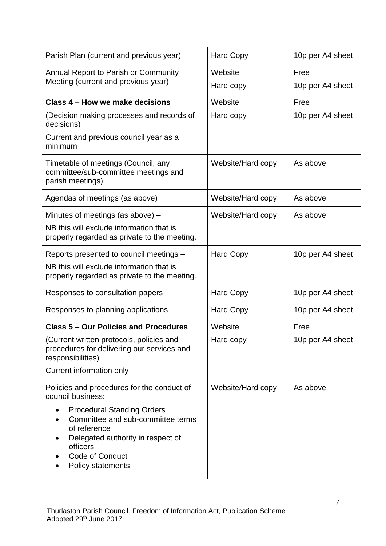| Parish Plan (current and previous year)                                                                                                                                                | <b>Hard Copy</b>     | 10p per A4 sheet         |
|----------------------------------------------------------------------------------------------------------------------------------------------------------------------------------------|----------------------|--------------------------|
| Annual Report to Parish or Community<br>Meeting (current and previous year)                                                                                                            | Website<br>Hard copy | Free<br>10p per A4 sheet |
| Class 4 – How we make decisions                                                                                                                                                        | Website              | Free                     |
| (Decision making processes and records of<br>decisions)                                                                                                                                | Hard copy            | 10p per A4 sheet         |
| Current and previous council year as a<br>minimum                                                                                                                                      |                      |                          |
| Timetable of meetings (Council, any<br>committee/sub-committee meetings and<br>parish meetings)                                                                                        | Website/Hard copy    | As above                 |
| Agendas of meetings (as above)                                                                                                                                                         | Website/Hard copy    | As above                 |
| Minutes of meetings (as above) –                                                                                                                                                       | Website/Hard copy    | As above                 |
| NB this will exclude information that is<br>properly regarded as private to the meeting.                                                                                               |                      |                          |
| Reports presented to council meetings -                                                                                                                                                | <b>Hard Copy</b>     | 10p per A4 sheet         |
| NB this will exclude information that is<br>properly regarded as private to the meeting.                                                                                               |                      |                          |
| Responses to consultation papers                                                                                                                                                       | <b>Hard Copy</b>     | 10p per A4 sheet         |
| Responses to planning applications                                                                                                                                                     | <b>Hard Copy</b>     | 10p per A4 sheet         |
| <b>Class 5 - Our Policies and Procedures</b>                                                                                                                                           | Website              | Free                     |
| (Current written protocols, policies and<br>procedures for delivering our services and<br>responsibilities)                                                                            | Hard copy            | 10p per A4 sheet         |
| Current information only                                                                                                                                                               |                      |                          |
| Policies and procedures for the conduct of<br>council business:                                                                                                                        | Website/Hard copy    | As above                 |
| <b>Procedural Standing Orders</b><br>Committee and sub-committee terms<br>of reference<br>Delegated authority in respect of<br>officers<br><b>Code of Conduct</b><br>Policy statements |                      |                          |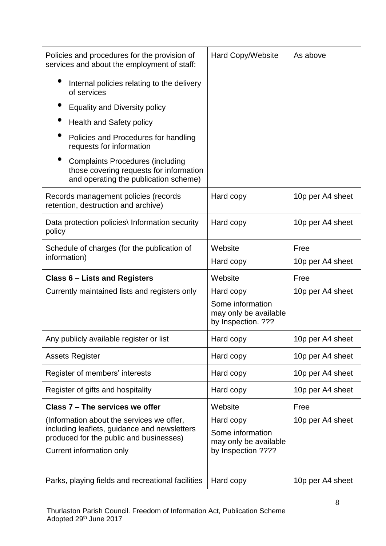| Policies and procedures for the provision of<br>services and about the employment of staff:                                 | Hard Copy/Website                                               | As above         |
|-----------------------------------------------------------------------------------------------------------------------------|-----------------------------------------------------------------|------------------|
| Internal policies relating to the delivery<br>of services                                                                   |                                                                 |                  |
| <b>Equality and Diversity policy</b>                                                                                        |                                                                 |                  |
| <b>Health and Safety policy</b>                                                                                             |                                                                 |                  |
| Policies and Procedures for handling<br>requests for information                                                            |                                                                 |                  |
| <b>Complaints Procedures (including</b><br>those covering requests for information<br>and operating the publication scheme) |                                                                 |                  |
| Records management policies (records<br>retention, destruction and archive)                                                 | Hard copy                                                       | 10p per A4 sheet |
| Data protection policies\ Information security<br>policy                                                                    | Hard copy                                                       | 10p per A4 sheet |
| Schedule of charges (for the publication of                                                                                 | Website                                                         | Free             |
| information)                                                                                                                | Hard copy                                                       | 10p per A4 sheet |
| <b>Class 6 - Lists and Registers</b>                                                                                        | Website                                                         | Free             |
| Currently maintained lists and registers only                                                                               | Hard copy                                                       | 10p per A4 sheet |
|                                                                                                                             | Some information<br>may only be available<br>by Inspection. ??? |                  |
| Any publicly available register or list                                                                                     | Hard copy                                                       | 10p per A4 sheet |
| <b>Assets Register</b>                                                                                                      | Hard copy                                                       | 10p per A4 sheet |
| Register of members' interests                                                                                              | Hard copy                                                       | 10p per A4 sheet |
| Register of gifts and hospitality                                                                                           | Hard copy                                                       | 10p per A4 sheet |
| Class 7 – The services we offer                                                                                             | Website                                                         | Free             |
| (Information about the services we offer,                                                                                   | Hard copy                                                       | 10p per A4 sheet |
| including leaflets, guidance and newsletters<br>produced for the public and businesses)                                     | Some information<br>may only be available                       |                  |
| Current information only                                                                                                    | by Inspection ????                                              |                  |
| Parks, playing fields and recreational facilities                                                                           | Hard copy                                                       | 10p per A4 sheet |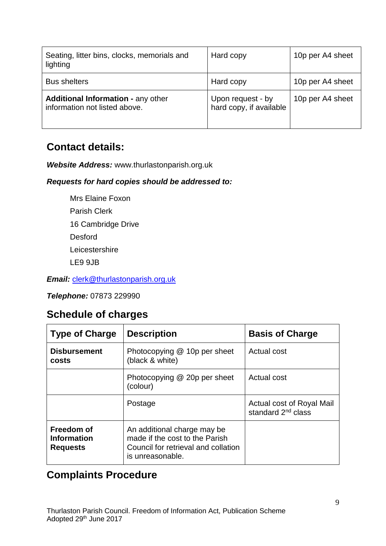| Seating, litter bins, clocks, memorials and<br>lighting                    | Hard copy                                    | 10p per A4 sheet |
|----------------------------------------------------------------------------|----------------------------------------------|------------------|
| <b>Bus shelters</b>                                                        | Hard copy                                    | 10p per A4 sheet |
| <b>Additional Information - any other</b><br>information not listed above. | Upon request - by<br>hard copy, if available | 10p per A4 sheet |

# **Contact details:**

*Website Address:* www.thurlastonparish.org.uk

## *Requests for hard copies should be addressed to:*

Mrs Elaine Foxon Parish Clerk 16 Cambridge Drive Desford **Leicestershire** LE9 9JB

*Email:* [clerk@thurlastonparish.org.uk](mailto:clerk@thurlastonparish.org.uk)

*Telephone:* 07873 229990

## **Schedule of charges**

| <b>Type of Charge</b>                               | <b>Description</b>                                                                                                       | <b>Basis of Charge</b>                                      |
|-----------------------------------------------------|--------------------------------------------------------------------------------------------------------------------------|-------------------------------------------------------------|
| <b>Disbursement</b><br>costs                        | Photocopying @ 10p per sheet<br>(black & white)                                                                          | Actual cost                                                 |
|                                                     | Photocopying @ 20p per sheet<br>(colour)                                                                                 | Actual cost                                                 |
|                                                     | Postage                                                                                                                  | Actual cost of Royal Mail<br>standard 2 <sup>nd</sup> class |
| Freedom of<br><b>Information</b><br><b>Requests</b> | An additional charge may be<br>made if the cost to the Parish<br>Council for retrieval and collation<br>is unreasonable. |                                                             |

# **Complaints Procedure**